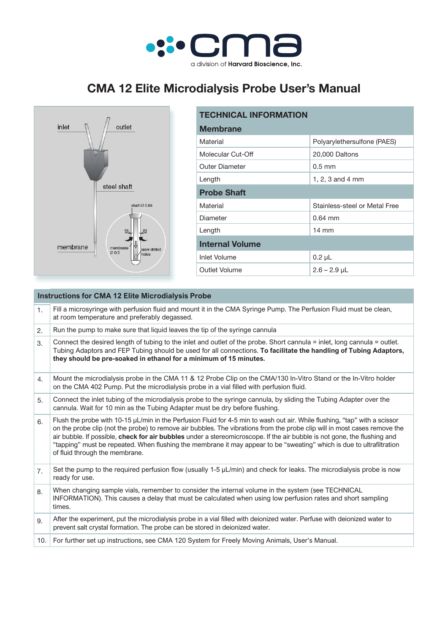

## **CMA 12 Elite Microdialysis Probe User's Manual**



| <b>TECHNICAL INFORMATION</b> |                               |  |  |
|------------------------------|-------------------------------|--|--|
| <b>Membrane</b>              |                               |  |  |
| Material                     | Polyarylethersulfone (PAES)   |  |  |
| Molecular Cut-Off            | 20,000 Daltons                |  |  |
| <b>Outer Diameter</b>        | $0.5$ mm                      |  |  |
| Length                       | 1, 2, 3 and 4 mm              |  |  |
| <b>Probe Shaft</b>           |                               |  |  |
| Material                     | Stainless-steel or Metal Free |  |  |
| Diameter                     | $0.64$ mm                     |  |  |
| Length                       | $14 \text{ mm}$               |  |  |
| <b>Internal Volume</b>       |                               |  |  |
| Inlet Volume                 | $0.2 \mu L$                   |  |  |
| Outlet Volume                | $2.6 - 2.9$ µL                |  |  |

| Fill a microsyringe with perfusion fluid and mount it in the CMA Syringe Pump. The Perfusion Fluid must be clean,<br>1.<br>at room temperature and preferably degassed.<br>Run the pump to make sure that liquid leaves the tip of the syringe cannula<br>2.<br>Connect the desired length of tubing to the inlet and outlet of the probe. Short cannula = inlet, long cannula = outlet.<br>3.<br>Tubing Adaptors and FEP Tubing should be used for all connections. To facilitate the handling of Tubing Adaptors,<br>they should be pre-soaked in ethanol for a minimum of 15 minutes.<br>Mount the microdialysis probe in the CMA 11 & 12 Probe Clip on the CMA/130 In-Vitro Stand or the In-Vitro holder<br>4.<br>on the CMA 402 Pump. Put the microdialysis probe in a vial filled with perfusion fluid.<br>Connect the inlet tubing of the microdialysis probe to the syringe cannula, by sliding the Tubing Adapter over the<br>5.<br>cannula. Wait for 10 min as the Tubing Adapter must be dry before flushing.<br>Flush the probe with 10-15 µL/min in the Perfusion Fluid for 4-5 min to wash out air. While flushing, "tap" with a scissor<br>6.<br>on the probe clip (not the probe) to remove air bubbles. The vibrations from the probe clip will in most cases remove the<br>air bubble. If possible, check for air bubbles under a stereomicroscope. If the air bubble is not gone, the flushing and<br>"tapping" must be repeated. When flushing the membrane it may appear to be "sweating" which is due to ultrafiltration<br>of fluid through the membrane.<br>Set the pump to the required perfusion flow (usually 1-5 $\mu$ L/min) and check for leaks. The microdialysis probe is now<br>7.<br>ready for use.<br>When changing sample vials, remember to consider the internal volume in the system (see TECHNICAL<br>8.<br>INFORMATION). This causes a delay that must be calculated when using low perfusion rates and short sampling<br>times.<br>After the experiment, put the microdialysis probe in a vial filled with deionized water. Perfuse with deionized water to<br>9.<br>prevent salt crystal formation. The probe can be stored in deionized water.<br>For further set up instructions, see CMA 120 System for Freely Moving Animals, User's Manual.<br>10. | <b>Instructions for CMA 12 Elite Microdialysis Probe</b> |  |  |
|----------------------------------------------------------------------------------------------------------------------------------------------------------------------------------------------------------------------------------------------------------------------------------------------------------------------------------------------------------------------------------------------------------------------------------------------------------------------------------------------------------------------------------------------------------------------------------------------------------------------------------------------------------------------------------------------------------------------------------------------------------------------------------------------------------------------------------------------------------------------------------------------------------------------------------------------------------------------------------------------------------------------------------------------------------------------------------------------------------------------------------------------------------------------------------------------------------------------------------------------------------------------------------------------------------------------------------------------------------------------------------------------------------------------------------------------------------------------------------------------------------------------------------------------------------------------------------------------------------------------------------------------------------------------------------------------------------------------------------------------------------------------------------------------------------------------------------------------------------------------------------------------------------------------------------------------------------------------------------------------------------------------------------------------------------------------------------------------------------------------------------------------------------------------------------------------------------------------------------------------------------------------------------------------------|----------------------------------------------------------|--|--|
|                                                                                                                                                                                                                                                                                                                                                                                                                                                                                                                                                                                                                                                                                                                                                                                                                                                                                                                                                                                                                                                                                                                                                                                                                                                                                                                                                                                                                                                                                                                                                                                                                                                                                                                                                                                                                                                                                                                                                                                                                                                                                                                                                                                                                                                                                                    |                                                          |  |  |
|                                                                                                                                                                                                                                                                                                                                                                                                                                                                                                                                                                                                                                                                                                                                                                                                                                                                                                                                                                                                                                                                                                                                                                                                                                                                                                                                                                                                                                                                                                                                                                                                                                                                                                                                                                                                                                                                                                                                                                                                                                                                                                                                                                                                                                                                                                    |                                                          |  |  |
|                                                                                                                                                                                                                                                                                                                                                                                                                                                                                                                                                                                                                                                                                                                                                                                                                                                                                                                                                                                                                                                                                                                                                                                                                                                                                                                                                                                                                                                                                                                                                                                                                                                                                                                                                                                                                                                                                                                                                                                                                                                                                                                                                                                                                                                                                                    |                                                          |  |  |
|                                                                                                                                                                                                                                                                                                                                                                                                                                                                                                                                                                                                                                                                                                                                                                                                                                                                                                                                                                                                                                                                                                                                                                                                                                                                                                                                                                                                                                                                                                                                                                                                                                                                                                                                                                                                                                                                                                                                                                                                                                                                                                                                                                                                                                                                                                    |                                                          |  |  |
|                                                                                                                                                                                                                                                                                                                                                                                                                                                                                                                                                                                                                                                                                                                                                                                                                                                                                                                                                                                                                                                                                                                                                                                                                                                                                                                                                                                                                                                                                                                                                                                                                                                                                                                                                                                                                                                                                                                                                                                                                                                                                                                                                                                                                                                                                                    |                                                          |  |  |
|                                                                                                                                                                                                                                                                                                                                                                                                                                                                                                                                                                                                                                                                                                                                                                                                                                                                                                                                                                                                                                                                                                                                                                                                                                                                                                                                                                                                                                                                                                                                                                                                                                                                                                                                                                                                                                                                                                                                                                                                                                                                                                                                                                                                                                                                                                    |                                                          |  |  |
|                                                                                                                                                                                                                                                                                                                                                                                                                                                                                                                                                                                                                                                                                                                                                                                                                                                                                                                                                                                                                                                                                                                                                                                                                                                                                                                                                                                                                                                                                                                                                                                                                                                                                                                                                                                                                                                                                                                                                                                                                                                                                                                                                                                                                                                                                                    |                                                          |  |  |
|                                                                                                                                                                                                                                                                                                                                                                                                                                                                                                                                                                                                                                                                                                                                                                                                                                                                                                                                                                                                                                                                                                                                                                                                                                                                                                                                                                                                                                                                                                                                                                                                                                                                                                                                                                                                                                                                                                                                                                                                                                                                                                                                                                                                                                                                                                    |                                                          |  |  |
|                                                                                                                                                                                                                                                                                                                                                                                                                                                                                                                                                                                                                                                                                                                                                                                                                                                                                                                                                                                                                                                                                                                                                                                                                                                                                                                                                                                                                                                                                                                                                                                                                                                                                                                                                                                                                                                                                                                                                                                                                                                                                                                                                                                                                                                                                                    |                                                          |  |  |
|                                                                                                                                                                                                                                                                                                                                                                                                                                                                                                                                                                                                                                                                                                                                                                                                                                                                                                                                                                                                                                                                                                                                                                                                                                                                                                                                                                                                                                                                                                                                                                                                                                                                                                                                                                                                                                                                                                                                                                                                                                                                                                                                                                                                                                                                                                    |                                                          |  |  |